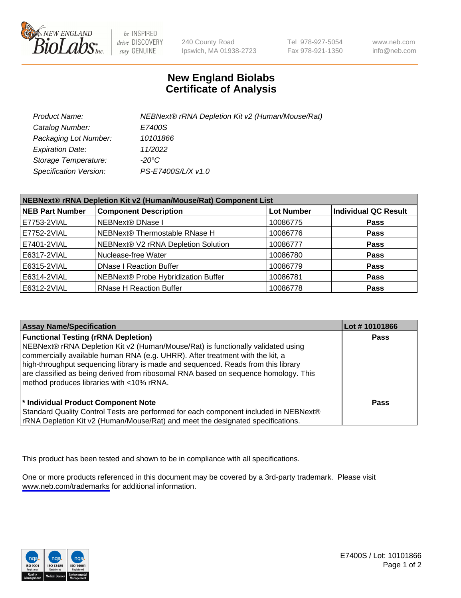

be INSPIRED drive DISCOVERY stay GENUINE

240 County Road Ipswich, MA 01938-2723 Tel 978-927-5054 Fax 978-921-1350

www.neb.com info@neb.com

## **New England Biolabs Certificate of Analysis**

| Product Name:                 | NEBNext® rRNA Depletion Kit v2 (Human/Mouse/Rat) |
|-------------------------------|--------------------------------------------------|
| Catalog Number:               | E7400S                                           |
| Packaging Lot Number:         | 10101866                                         |
| <b>Expiration Date:</b>       | 11/2022                                          |
| Storage Temperature:          | -20°C                                            |
| <b>Specification Version:</b> | PS-E7400S/L/X v1.0                               |

| NEBNext® rRNA Depletion Kit v2 (Human/Mouse/Rat) Component List |                                     |                   |                             |
|-----------------------------------------------------------------|-------------------------------------|-------------------|-----------------------------|
| <b>NEB Part Number</b>                                          | <b>Component Description</b>        | <b>Lot Number</b> | <b>Individual QC Result</b> |
| E7753-2VIAL                                                     | <b>NEBNext® DNase I</b>             | 10086775          | <b>Pass</b>                 |
| E7752-2VIAL                                                     | NEBNext® Thermostable RNase H       | 10086776          | <b>Pass</b>                 |
| E7401-2VIAL                                                     | NEBNext® V2 rRNA Depletion Solution | 10086777          | <b>Pass</b>                 |
| E6317-2VIAL                                                     | Nuclease-free Water                 | 10086780          | <b>Pass</b>                 |
| E6315-2VIAL                                                     | <b>DNase I Reaction Buffer</b>      | 10086779          | <b>Pass</b>                 |
| E6314-2VIAL                                                     | NEBNext® Probe Hybridization Buffer | 10086781          | <b>Pass</b>                 |
| E6312-2VIAL                                                     | <b>RNase H Reaction Buffer</b>      | 10086778          | <b>Pass</b>                 |

| <b>Assay Name/Specification</b>                                                                                                                                                                                                                                                                                                                                                                                                          | Lot #10101866 |
|------------------------------------------------------------------------------------------------------------------------------------------------------------------------------------------------------------------------------------------------------------------------------------------------------------------------------------------------------------------------------------------------------------------------------------------|---------------|
| <b>Functional Testing (rRNA Depletion)</b><br>NEBNext® rRNA Depletion Kit v2 (Human/Mouse/Rat) is functionally validated using<br>commercially available human RNA (e.g. UHRR). After treatment with the kit, a<br>high-throughput sequencing library is made and sequenced. Reads from this library<br>are classified as being derived from ribosomal RNA based on sequence homology. This<br>method produces libraries with <10% rRNA. | <b>Pass</b>   |
| * Individual Product Component Note<br>Standard Quality Control Tests are performed for each component included in NEBNext®<br>rRNA Depletion Kit v2 (Human/Mouse/Rat) and meet the designated specifications.                                                                                                                                                                                                                           | Pass          |

This product has been tested and shown to be in compliance with all specifications.

One or more products referenced in this document may be covered by a 3rd-party trademark. Please visit <www.neb.com/trademarks>for additional information.